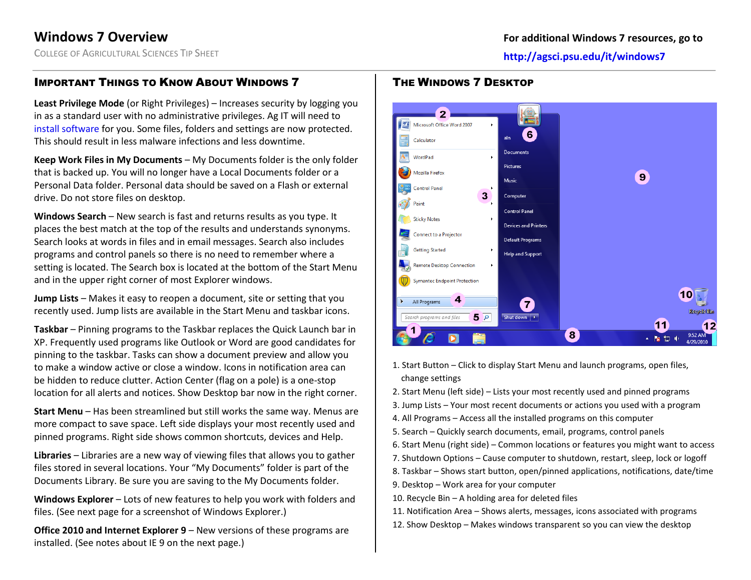COLLEGE OF AGRICULTURAL SCIENCES TIP SHEET **http://agsci.psu.edu/it/windows7**

# IMPORTANT THINGS TO KNOW ABOUT WINDOWS 7

**Least Privilege Mode** (or Right Privileges) – Increases security by logging you in as a standard user with no administrative privileges. Ag IT will need to [install software](http://agsci.psu.edu/it/how-to/request-non-standard-software-installation) for you. Some files, folders and settings are now protected. This should result in less malware infections and less downtime.

**Keep Work Files in My Documents** – My Documents folder is the only folder that is backed up. You will no longer have a Local Documents folder or a Personal Data folder. Personal data should be saved on a Flash or external drive. Do not store files on desktop.

**Windows Search** – New search is fast and returns results as you type. It places the best match at the top of the results and understands synonyms. Search looks at words in files and in email messages. Search also includes programs and control panels so there is no need to remember where a setting is located. The Search box is located at the bottom of the Start Menu and in the upper right corner of most Explorer windows.

**Jump Lists** – Makes it easy to reopen a document, site or setting that you recently used. Jump lists are available in the Start Menu and taskbar icons.

**Taskbar** – Pinning programs to the Taskbar replaces the Quick Launch bar in XP. Frequently used programs like Outlook or Word are good candidates for pinning to the taskbar. Tasks can show a document preview and allow you to make a window active or close a window. Icons in notification area can be hidden to reduce clutter. Action Center (flag on a pole) is a one-stop location for all alerts and notices. Show Desktop bar now in the right corner.

**Start Menu** – Has been streamlined but still works the same way. Menus are more compact to save space. Left side displays your most recently used and pinned programs. Right side shows common shortcuts, devices and Help.

**Libraries** – Libraries are a new way of viewing files that allows you to gather files stored in several locations. Your "My Documents" folder is part of the Documents Library. Be sure you are saving to the My Documents folder.

**Windows Explorer** – Lots of new features to help you work with folders and files. (See next page for a screenshot of Windows Explorer.)

**Office 2010 and Internet Explorer 9** – New versions of these programs are installed. (See notes about IE 9 on the next page.)





- 1. Start Button Click to display Start Menu and launch programs, open files, change settings
- 2. Start Menu (left side) Lists your most recently used and pinned programs
- 3. Jump Lists Your most recent documents or actions you used with a program
- 4. All Programs Access all the installed programs on this computer
- 5. Search Quickly search documents, email, programs, control panels
- 6. Start Menu (right side) Common locations or features you might want to access
- 7. Shutdown Options Cause computer to shutdown, restart, sleep, lock or logoff
- 8. Taskbar Shows start button, open/pinned applications, notifications, date/time
- 9. Desktop Work area for your computer
- 10. Recycle Bin A holding area for deleted files
- 11. Notification Area Shows alerts, messages, icons associated with programs
- 12. Show Desktop Makes windows transparent so you can view the desktop